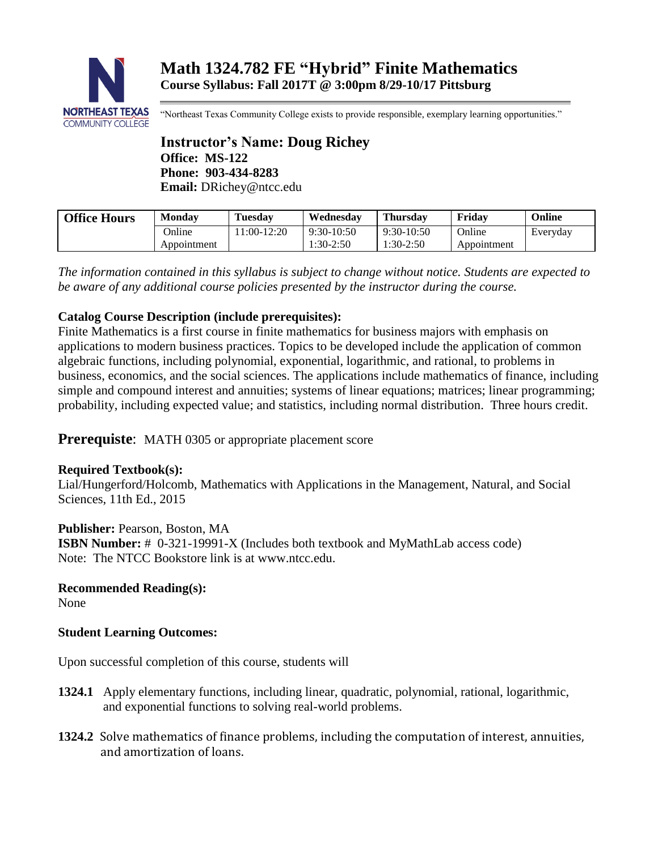

"Northeast Texas Community College exists to provide responsible, exemplary learning opportunities."

**Instructor's Name: Doug Richey Office: MS-122 Phone: 903-434-8283 Email:** DRichey@ntcc.edu

| <b>Office Hours</b> | <b>Monday</b> | <b>Tuesday</b> | Wednesdav    | <b>Thursdav</b> | Fridav      | Online   |
|---------------------|---------------|----------------|--------------|-----------------|-------------|----------|
|                     | Online        | $1:00-12:20$   | $9:30-10:50$ | $9:30-10:50$    | Online      | Everyday |
|                     | Appointment   |                | $1:30-2:50$  | 1:30-2:50       | Appointment |          |

*The information contained in this syllabus is subject to change without notice. Students are expected to be aware of any additional course policies presented by the instructor during the course.*

# **Catalog Course Description (include prerequisites):**

Finite Mathematics is a first course in finite mathematics for business majors with emphasis on applications to modern business practices. Topics to be developed include the application of common algebraic functions, including polynomial, exponential, logarithmic, and rational, to problems in business, economics, and the social sciences. The applications include mathematics of finance, including simple and compound interest and annuities; systems of linear equations; matrices; linear programming; probability, including expected value; and statistics, including normal distribution. Three hours credit.

**Prerequiste:** MATH 0305 or appropriate placement score

# **Required Textbook(s):**

Lial/Hungerford/Holcomb, Mathematics with Applications in the Management, Natural, and Social Sciences, 11th Ed., 2015

**Publisher:** Pearson, Boston, MA

**ISBN Number:** # 0-321-19991-X (Includes both textbook and MyMathLab access code) Note: The NTCC Bookstore link is at www.ntcc.edu.

**Recommended Reading(s):**

None

# **Student Learning Outcomes:**

Upon successful completion of this course, students will

- **1324.1** Apply elementary functions, including linear, quadratic, polynomial, rational, logarithmic, and exponential functions to solving real-world problems.
- **1324.2** Solve mathematics of finance problems, including the computation of interest, annuities, and amortization of loans.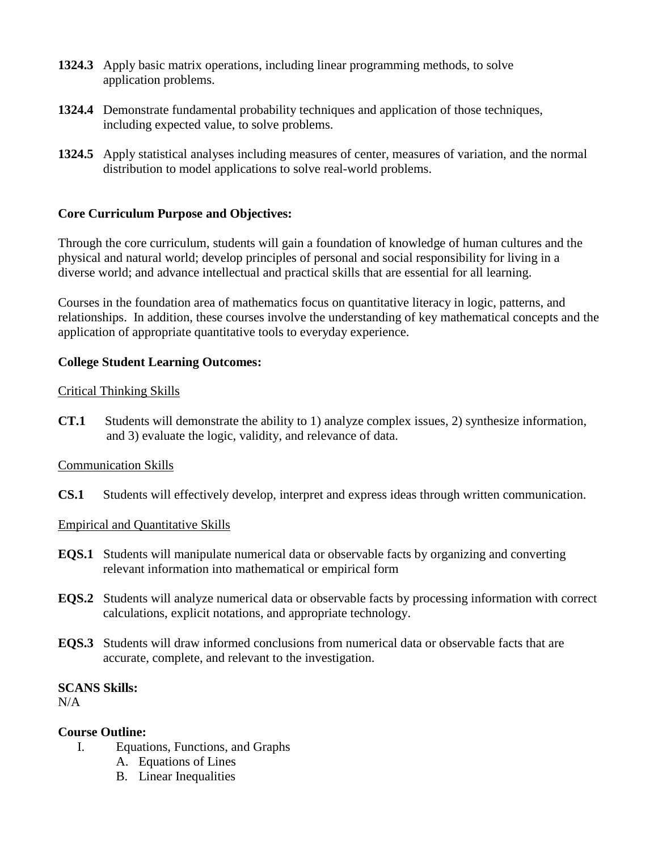- **1324.3** Apply basic matrix operations, including linear programming methods, to solve application problems.
- **1324.4** Demonstrate fundamental probability techniques and application of those techniques, including expected value, to solve problems.
- **1324.5** Apply statistical analyses including measures of center, measures of variation, and the normal distribution to model applications to solve real-world problems.

### **Core Curriculum Purpose and Objectives:**

Through the core curriculum, students will gain a foundation of knowledge of human cultures and the physical and natural world; develop principles of personal and social responsibility for living in a diverse world; and advance intellectual and practical skills that are essential for all learning.

Courses in the foundation area of mathematics focus on quantitative literacy in logic, patterns, and relationships. In addition, these courses involve the understanding of key mathematical concepts and the application of appropriate quantitative tools to everyday experience.

### **College Student Learning Outcomes:**

### Critical Thinking Skills

**CT.1** Students will demonstrate the ability to 1) analyze complex issues, 2) synthesize information, and 3) evaluate the logic, validity, and relevance of data.

### Communication Skills

**CS.1** Students will effectively develop, interpret and express ideas through written communication.

### Empirical and Quantitative Skills

- **EQS.1** Students will manipulate numerical data or observable facts by organizing and converting relevant information into mathematical or empirical form
- **EQS.2** Students will analyze numerical data or observable facts by processing information with correct calculations, explicit notations, and appropriate technology.
- **EQS.3** Students will draw informed conclusions from numerical data or observable facts that are accurate, complete, and relevant to the investigation.

### **SCANS Skills:**

 $N/A$ 

### **Course Outline:**

- I. Equations, Functions, and Graphs
	- A. Equations of Lines
	- B. Linear Inequalities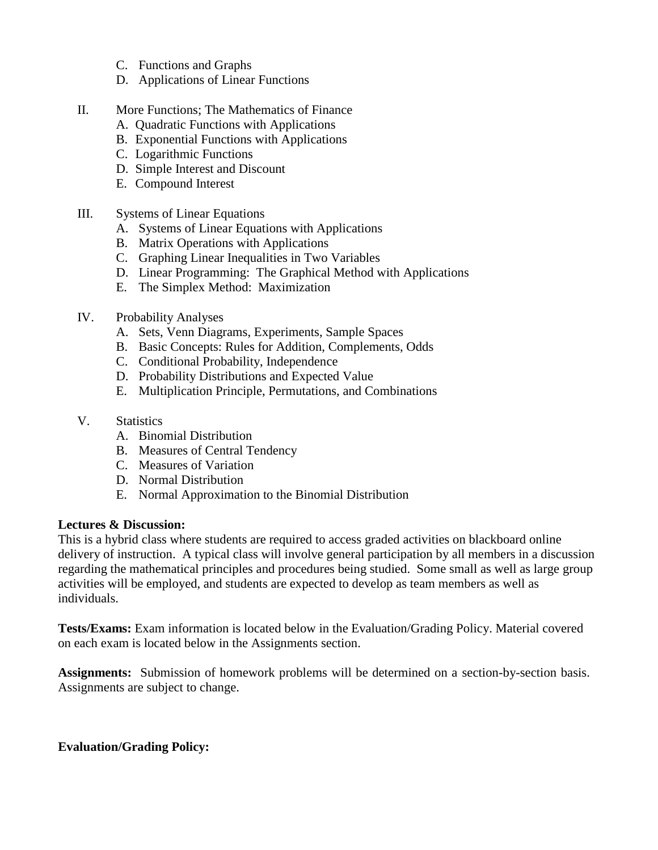- C. Functions and Graphs
- D. Applications of Linear Functions
- II. More Functions; The Mathematics of Finance
	- A. Quadratic Functions with Applications
	- B. Exponential Functions with Applications
	- C. Logarithmic Functions
	- D. Simple Interest and Discount
	- E. Compound Interest
- III. Systems of Linear Equations
	- A. Systems of Linear Equations with Applications
	- B. Matrix Operations with Applications
	- C. Graphing Linear Inequalities in Two Variables
	- D. Linear Programming: The Graphical Method with Applications
	- E. The Simplex Method: Maximization
- IV. Probability Analyses
	- A. Sets, Venn Diagrams, Experiments, Sample Spaces
	- B. Basic Concepts: Rules for Addition, Complements, Odds
	- C. Conditional Probability, Independence
	- D. Probability Distributions and Expected Value
	- E. Multiplication Principle, Permutations, and Combinations
- V. Statistics
	- A. Binomial Distribution
	- B. Measures of Central Tendency
	- C. Measures of Variation
	- D. Normal Distribution
	- E. Normal Approximation to the Binomial Distribution

# **Lectures & Discussion:**

This is a hybrid class where students are required to access graded activities on blackboard online delivery of instruction. A typical class will involve general participation by all members in a discussion regarding the mathematical principles and procedures being studied. Some small as well as large group activities will be employed, and students are expected to develop as team members as well as individuals.

**Tests/Exams:** Exam information is located below in the Evaluation/Grading Policy. Material covered on each exam is located below in the Assignments section.

**Assignments:** Submission of homework problems will be determined on a section-by-section basis. Assignments are subject to change.

# **Evaluation/Grading Policy:**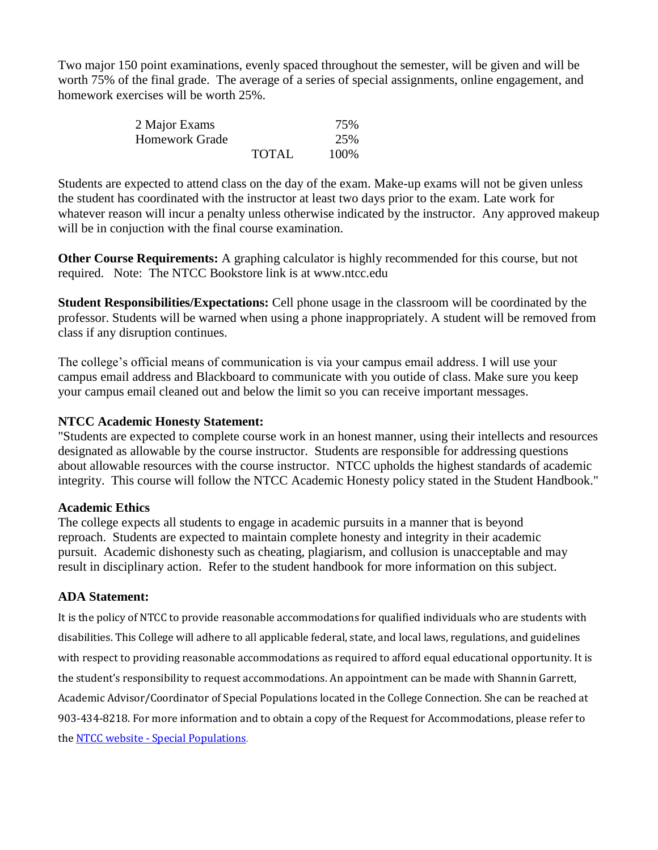Two major 150 point examinations, evenly spaced throughout the semester, will be given and will be worth 75% of the final grade. The average of a series of special assignments, online engagement, and homework exercises will be worth 25%.

| 2 Major Exams  |              | 75%  |
|----------------|--------------|------|
| Homework Grade |              | 25%  |
|                | <b>TOTAL</b> | 100% |

Students are expected to attend class on the day of the exam. Make-up exams will not be given unless the student has coordinated with the instructor at least two days prior to the exam. Late work for whatever reason will incur a penalty unless otherwise indicated by the instructor. Any approved makeup will be in conjuction with the final course examination.

**Other Course Requirements:** A graphing calculator is highly recommended for this course, but not required. Note: The NTCC Bookstore link is [at www.ntcc.edu](http://www.ntcc.edu/)

**Student Responsibilities/Expectations:** Cell phone usage in the classroom will be coordinated by the professor. Students will be warned when using a phone inappropriately. A student will be removed from class if any disruption continues.

The college's official means of communication is via your campus email address. I will use your campus email address and Blackboard to communicate with you outide of class. Make sure you keep your campus email cleaned out and below the limit so you can receive important messages.

### **NTCC Academic Honesty Statement:**

"Students are expected to complete course work in an honest manner, using their intellects and resources designated as allowable by the course instructor. Students are responsible for addressing questions about allowable resources with the course instructor. NTCC upholds the highest standards of academic integrity. This course will follow the NTCC Academic Honesty policy stated in the Student Handbook."

### **Academic Ethics**

The college expects all students to engage in academic pursuits in a manner that is beyond reproach. Students are expected to maintain complete honesty and integrity in their academic pursuit. Academic dishonesty such as cheating, plagiarism, and collusion is unacceptable and may result in disciplinary action. Refer to the student handbook for more information on this subject.

# **ADA Statement:**

It is the policy of NTCC to provide reasonable accommodations for qualified individuals who are students with disabilities. This College will adhere to all applicable federal, state, and local laws, regulations, and guidelines with respect to providing reasonable accommodations as required to afford equal educational opportunity. It is the student's responsibility to request accommodations. An appointment can be made with Shannin Garrett, Academic Advisor/Coordinator of Special Populations located in the College Connection. She can be reached at 903-434-8218. For more information and to obtain a copy of the Request for Accommodations, please refer to the NTCC website - [Special Populations](http://www.ntcc.edu/index.php?module=Pagesetter&func=viewpub&tid=111&pid=1).